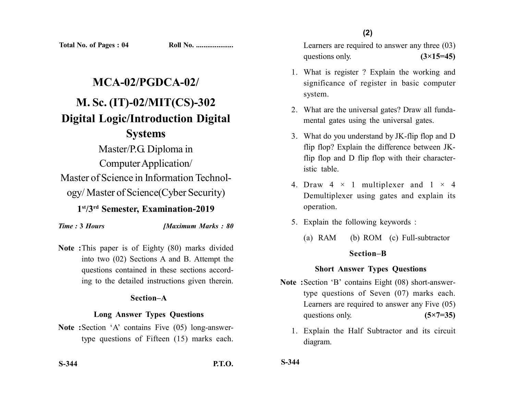Learners are required to answer any three (03) questions only.  $(3\times15=45)$ 

- 1. What is register ? Explain the working and significance of register in basic computer system.
- 2. What are the universal gates? Draw all fundamental gates using the universal gates.
- 3. What do you understand by JK-flip flop and D flip flop? Explain the difference between JKflip flop and D flip flop with their characteristic table.
- 4. Draw  $4 \times 1$  multiplexer and  $1 \times 4$ Demultiplexer using gates and explain its operation.
- 5. Explain the following keywords :
	- (a) RAM (b) ROM (c) Full-subtractor

### **Section–B**

### **Short Answer Types Questions**

- **Note :**Section 'B' contains Eight (08) short-answertype questions of Seven (07) marks each. Learners are required to answer any Five (05) questions only. **(5×7=35)** 
	- 1. Explain the Half Subtractor and its circuit diagram.

**Total No. of Pages : 04 Roll No. ...................** 

# **MCA-02/PGDCA-02/ M. Sc. (IT)-02/MIT(CS)-302 Digital Logic/Introduction Digital Systems**

Master/P.G. Diploma in Computer Application/ Master of Science in Information Technology/ Master of Science(Cyber Security)

**1st/3rd Semester, Examination-2019**

*Time :* **3** *Hours [Maximum Marks : 80*

**Note :**This paper is of Eighty (80) marks divided into two (02) Sections A and B. Attempt the questions contained in these sections according to the detailed instructions given therein.

## **Section–A**

## **Long Answer Types Questions**

**Note :**Section 'A' contains Five (05) long-answertype questions of Fifteen (15) marks each.

**S-344 P.T.O.**

**S-344**